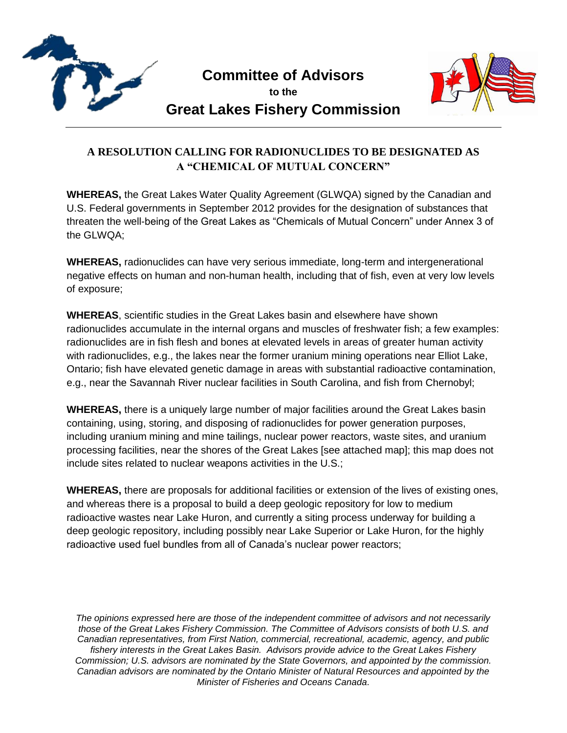

**Committee of Advisors**

**to the Great Lakes Fishery Commission**



## **A RESOLUTION CALLING FOR RADIONUCLIDES TO BE DESIGNATED AS A "CHEMICAL OF MUTUAL CONCERN"**

**WHEREAS,** the Great Lakes Water Quality Agreement (GLWQA) signed by the Canadian and U.S. Federal governments in September 2012 provides for the designation of substances that threaten the well-being of the Great Lakes as "Chemicals of Mutual Concern" under Annex 3 of the GLWQA;

**WHEREAS,** radionuclides can have very serious immediate, long-term and intergenerational negative effects on human and non-human health, including that of fish, even at very low levels of exposure;

**WHEREAS**, scientific studies in the Great Lakes basin and elsewhere have shown radionuclides accumulate in the internal organs and muscles of freshwater fish; a few examples: radionuclides are in fish flesh and bones at elevated levels in areas of greater human activity with radionuclides, e.g., the lakes near the former uranium mining operations near Elliot Lake, Ontario; fish have elevated genetic damage in areas with substantial radioactive contamination, e.g., near the Savannah River nuclear facilities in South Carolina, and fish from Chernobyl;

**WHEREAS,** there is a uniquely large number of major facilities around the Great Lakes basin containing, using, storing, and disposing of radionuclides for power generation purposes, including uranium mining and mine tailings, nuclear power reactors, waste sites, and uranium processing facilities, near the shores of the Great Lakes [see attached map]; this map does not include sites related to nuclear weapons activities in the U.S.;

**WHEREAS,** there are proposals for additional facilities or extension of the lives of existing ones, and whereas there is a proposal to build a deep geologic repository for low to medium radioactive wastes near Lake Huron, and currently a siting process underway for building a deep geologic repository, including possibly near Lake Superior or Lake Huron, for the highly radioactive used fuel bundles from all of Canada's nuclear power reactors;

*The opinions expressed here are those of the independent committee of advisors and not necessarily those of the Great Lakes Fishery Commission. The Committee of Advisors consists of both U.S. and Canadian representatives, from First Nation, commercial, recreational, academic, agency, and public fishery interests in the Great Lakes Basin. Advisors provide advice to the Great Lakes Fishery Commission; U.S. advisors are nominated by the State Governors, and appointed by the commission. Canadian advisors are nominated by the Ontario Minister of Natural Resources and appointed by the Minister of Fisheries and Oceans Canada.*